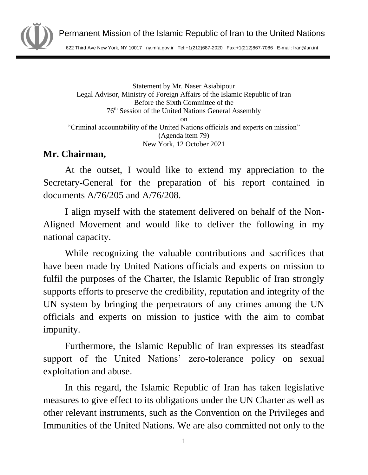

622 Third Ave New York, NY 10017 ny.mfa.gov.ir Tel:+1(212)687-2020 Fax:+1(212)867-7086 E-mail: Iran@un.int

Statement by Mr. Naser Asiabipour Legal Advisor, Ministry of Foreign Affairs of the Islamic Republic of Iran Before the Sixth Committee of the 76th Session of the United Nations General Assembly on "Criminal accountability of the United Nations officials and experts on mission" (Agenda item 79) New York, 12 October 2021

## **Mr. Chairman,**

At the outset, I would like to extend my appreciation to the Secretary-General for the preparation of his report contained in documents A/76/205 and A/76/208.

I align myself with the statement delivered on behalf of the Non-Aligned Movement and would like to deliver the following in my national capacity.

While recognizing the valuable contributions and sacrifices that have been made by United Nations officials and experts on mission to fulfil the purposes of the Charter, the Islamic Republic of Iran strongly supports efforts to preserve the credibility, reputation and integrity of the UN system by bringing the perpetrators of any crimes among the UN officials and experts on mission to justice with the aim to combat impunity.

Furthermore, the Islamic Republic of Iran expresses its steadfast support of the United Nations' zero-tolerance policy on sexual exploitation and abuse.

In this regard, the Islamic Republic of Iran has taken legislative measures to give effect to its obligations under the UN Charter as well as other relevant instruments, such as the Convention on the Privileges and Immunities of the United Nations. We are also committed not only to the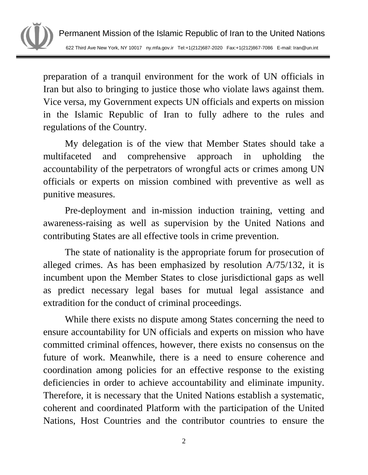

preparation of a tranquil environment for the work of UN officials in Iran but also to bringing to justice those who violate laws against them. Vice versa, my Government expects UN officials and experts on mission in the Islamic Republic of Iran to fully adhere to the rules and regulations of the Country.

My delegation is of the view that Member States should take a multifaceted and comprehensive approach in upholding the accountability of the perpetrators of wrongful acts or crimes among UN officials or experts on mission combined with preventive as well as punitive measures.

Pre-deployment and in-mission induction training, vetting and awareness-raising as well as supervision by the United Nations and contributing States are all effective tools in crime prevention.

The state of nationality is the appropriate forum for prosecution of alleged crimes. As has been emphasized by resolution A/75/132, it is incumbent upon the Member States to close jurisdictional gaps as well as predict necessary legal bases for mutual legal assistance and extradition for the conduct of criminal proceedings.

While there exists no dispute among States concerning the need to ensure accountability for UN officials and experts on mission who have committed criminal offences, however, there exists no consensus on the future of work. Meanwhile, there is a need to ensure coherence and coordination among policies for an effective response to the existing deficiencies in order to achieve accountability and eliminate impunity. Therefore, it is necessary that the United Nations establish a systematic, coherent and coordinated Platform with the participation of the United Nations, Host Countries and the contributor countries to ensure the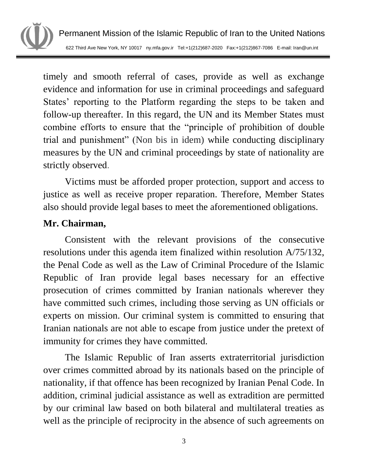

Permanent Mission of the Islamic Republic of Iran to the United Nations 622 Third Ave New York, NY 10017 ny.mfa.gov.ir Tel:+1(212)687-2020 Fax:+1(212)867-7086 E-mail: Iran@un.int

timely and smooth referral of cases, provide as well as exchange evidence and information for use in criminal proceedings and safeguard States' reporting to the Platform regarding the steps to be taken and follow-up thereafter. In this regard, the UN and its Member States must combine efforts to ensure that the "principle of prohibition of double trial and punishment" (Non bis in idem) while conducting disciplinary measures by the UN and criminal proceedings by state of nationality are strictly observed.

Victims must be afforded proper protection, support and access to justice as well as receive proper reparation. Therefore, Member States also should provide legal bases to meet the aforementioned obligations.

## **Mr. Chairman,**

Consistent with the relevant provisions of the consecutive resolutions under this agenda item finalized within resolution A/75/132, the Penal Code as well as the Law of Criminal Procedure of the Islamic Republic of Iran provide legal bases necessary for an effective prosecution of crimes committed by Iranian nationals wherever they have committed such crimes, including those serving as UN officials or experts on mission. Our criminal system is committed to ensuring that Iranian nationals are not able to escape from justice under the pretext of immunity for crimes they have committed.

The Islamic Republic of Iran asserts extraterritorial jurisdiction over crimes committed abroad by its nationals based on the principle of nationality, if that offence has been recognized by Iranian Penal Code. In addition, criminal judicial assistance as well as extradition are permitted by our criminal law based on both bilateral and multilateral treaties as well as the principle of reciprocity in the absence of such agreements on